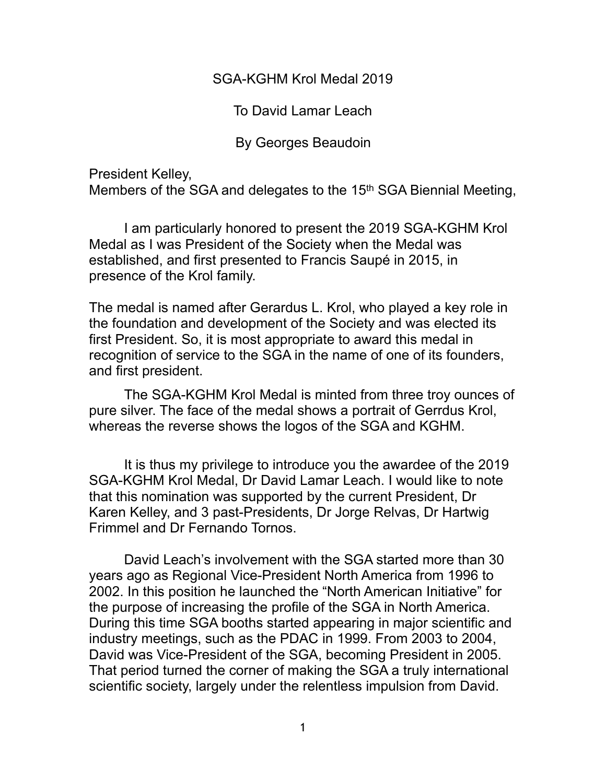SGA-KGHM Krol Medal 2019

To David Lamar Leach

By Georges Beaudoin

President Kelley,

Members of the SGA and delegates to the 15th SGA Biennial Meeting,

 I am particularly honored to present the 2019 SGA-KGHM Krol Medal as I was President of the Society when the Medal was established, and first presented to Francis Saupé in 2015, in presence of the Krol family.

The medal is named after Gerardus L. Krol, who played a key role in the foundation and development of the Society and was elected its first President. So, it is most appropriate to award this medal in recognition of service to the SGA in the name of one of its founders, and first president.

 The SGA-KGHM Krol Medal is minted from three troy ounces of pure silver. The face of the medal shows a portrait of Gerrdus Krol, whereas the reverse shows the logos of the SGA and KGHM.

 It is thus my privilege to introduce you the awardee of the 2019 SGA-KGHM Krol Medal, Dr David Lamar Leach. I would like to note that this nomination was supported by the current President, Dr Karen Kelley, and 3 past-Presidents, Dr Jorge Relvas, Dr Hartwig Frimmel and Dr Fernando Tornos.

 David Leach's involvement with the SGA started more than 30 years ago as Regional Vice-President North America from 1996 to 2002. In this position he launched the "North American Initiative" for the purpose of increasing the profile of the SGA in North America. During this time SGA booths started appearing in major scientific and industry meetings, such as the PDAC in 1999. From 2003 to 2004, David was Vice-President of the SGA, becoming President in 2005. That period turned the corner of making the SGA a truly international scientific society, largely under the relentless impulsion from David.